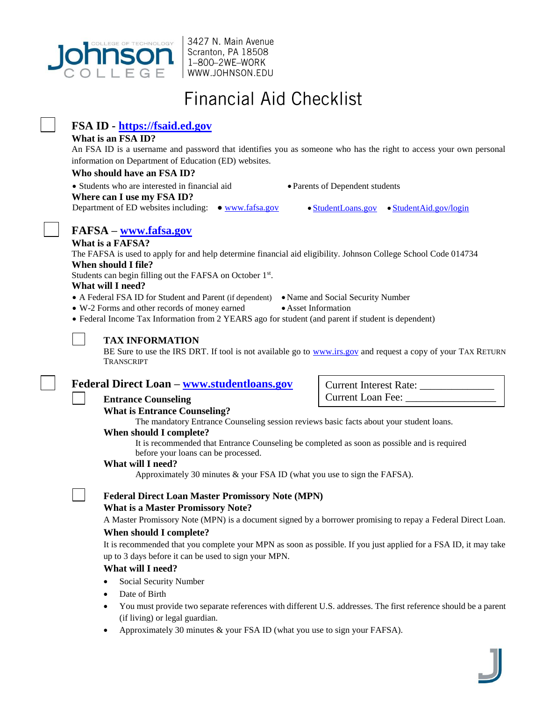

3427 N. Main Avenue Scranton, PA 18508 1-800-2WE-WORK | WWW.JOHNSON.EDU

# **Financial Aid Checklist**

### **FSA ID - [https://fsaid.ed.gov](https://fsaid.ed.gov/)**

### **What is an FSA ID?**

An FSA ID is a username and password that identifies you as someone who has the right to access your own personal information on Department of Education (ED) websites.

### **Who should have an FSA ID?**

Students who are interested in financial aid Parents of Dependent students

**Where can I use my FSA ID?**

Department of ED websites including:  $\bullet$  [www.fafsa.gov](http://www.fafsa.gov/)  $\bullet$  [StudentLoans.gov](https://studentloans.gov/myDirectLoan/index.action)  $\bullet$  [StudentAid.gov/login](https://studentaid.ed.gov/log-in)

## **FAFSA – [www.fafsa.gov](http://www.fafsa.gov/)**

### **What is a FAFSA?**

The FAFSA is used to apply for and help determine financial aid eligibility. Johnson College School Code 014734 **When should I file?**

Students can begin filling out the FAFSA on October 1<sup>st</sup>.

### **What will I need?**

- A Federal FSA ID for Student and Parent (if dependent) Name and Social Security Number
- W-2 Forms and other records of money earned Asset Information
- Federal Income Tax Information from 2 YEARS ago for student (and parent if student is dependent)



### **TAX INFORMATION**

BE Sure to use the IRS DRT. If tool is not available go to [www.irs.gov](http://www.irs.gov/) and request a copy of your TAX RETURN TRANSCRIPT

### **Federal Direct Loan – [www.studentloans.gov](http://www.studentloans.gov/)**

**Entrance Counseling** 

### **What is Entrance Counseling?**

The mandatory Entrance Counseling session reviews basic facts about your student loans.

### **When should I complete?**

It is recommended that Entrance Counseling be completed as soon as possible and is required before your loans can be processed.

### **What will I need?**

Approximately 30 minutes & your FSA ID (what you use to sign the FAFSA).

### **Federal Direct Loan Master Promissory Note (MPN) What is a Master Promissory Note?**

A Master Promissory Note (MPN) is a document signed by a borrower promising to repay a Federal Direct Loan.

### **When should I complete?**

It is recommended that you complete your MPN as soon as possible. If you just applied for a FSA ID, it may take up to 3 days before it can be used to sign your MPN.

### **What will I need?**

- Social Security Number
- Date of Birth
- You must provide two separate references with different U.S. addresses. The first reference should be a parent (if living) or legal guardian.
- Approximately 30 minutes & your FSA ID (what you use to sign your FAFSA).

Current Interest Rate: Current Loan Fee: